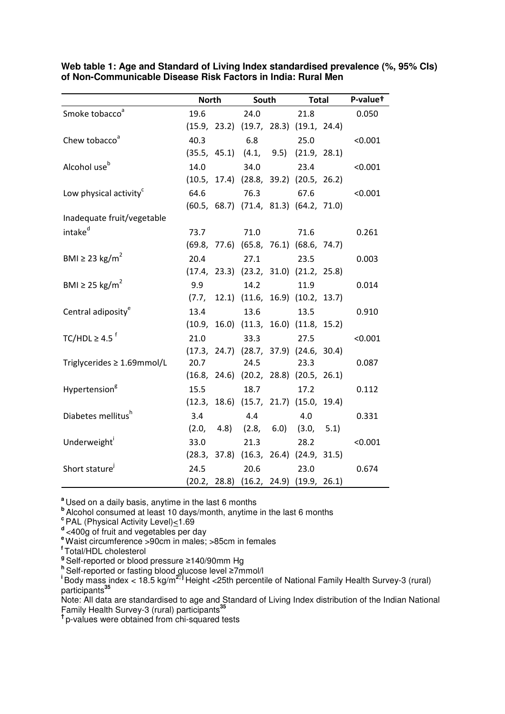|                                    | <b>North</b> |      | South                                        |      | Total |  | P-valuet |  |
|------------------------------------|--------------|------|----------------------------------------------|------|-------|--|----------|--|
| Smoke tobacco <sup>a</sup>         | 19.6         |      | 24.0                                         |      | 21.8  |  | 0.050    |  |
|                                    |              |      | $(15.9, 23.2)$ $(19.7, 28.3)$ $(19.1, 24.4)$ |      |       |  |          |  |
| Chew tobacco <sup>a</sup>          | 40.3         |      | 6.8                                          |      | 25.0  |  | < 0.001  |  |
|                                    |              |      | $(35.5, 45.1)$ $(4.1, 9.5)$ $(21.9, 28.1)$   |      |       |  |          |  |
| Alcohol use <sup>b</sup>           | 14.0         |      |                                              | 34.0 | 23.4  |  | < 0.001  |  |
|                                    |              |      | $(10.5, 17.4)$ $(28.8, 39.2)$ $(20.5, 26.2)$ |      |       |  |          |  |
| Low physical activity <sup>c</sup> | 64.6         |      | 76.3                                         |      | 67.6  |  | < 0.001  |  |
|                                    |              |      | $(60.5, 68.7)$ $(71.4, 81.3)$ $(64.2, 71.0)$ |      |       |  |          |  |
| Inadequate fruit/vegetable         |              |      |                                              |      |       |  |          |  |
| intake <sup>d</sup>                |              | 73.7 | 71.0                                         |      | 71.6  |  | 0.261    |  |
|                                    |              |      | $(69.8, 77.6)$ $(65.8, 76.1)$ $(68.6, 74.7)$ |      |       |  |          |  |
| BMI $\geq$ 23 kg/m <sup>2</sup>    | 20.4         |      | 27.1                                         |      | 23.5  |  | 0.003    |  |
|                                    |              |      | $(17.4, 23.3)$ $(23.2, 31.0)$ $(21.2, 25.8)$ |      |       |  |          |  |
| BMI $\geq$ 25 kg/m <sup>2</sup>    | 9.9          |      |                                              | 14.2 | 11.9  |  | 0.014    |  |
|                                    |              |      | $(7.7, 12.1)$ $(11.6, 16.9)$ $(10.2, 13.7)$  |      |       |  |          |  |
| Central adiposity <sup>e</sup>     | 13.4         |      | 13.6                                         |      | 13.5  |  | 0.910    |  |
|                                    |              |      | $(10.9, 16.0)$ $(11.3, 16.0)$ $(11.8, 15.2)$ |      |       |  |          |  |
| TC/HDL $\geq 4.5$ <sup>f</sup>     | 21.0         |      | 33.3                                         |      | 27.5  |  | < 0.001  |  |
|                                    |              |      | $(17.3, 24.7)$ $(28.7, 37.9)$ $(24.6, 30.4)$ |      |       |  |          |  |
| Triglycerides ≥ 1.69mmol/L         | 20.7         |      | 24.5                                         |      | 23.3  |  | 0.087    |  |
|                                    |              |      | $(16.8, 24.6)$ $(20.2, 28.8)$ $(20.5, 26.1)$ |      |       |  |          |  |
| Hypertension <sup>g</sup>          | 15.5         |      | 18.7                                         |      | 17.2  |  | 0.112    |  |
|                                    |              |      | $(12.3, 18.6)$ $(15.7, 21.7)$ $(15.0, 19.4)$ |      |       |  |          |  |
| Diabetes mellitus <sup>h</sup>     | 3.4          |      | 4.4                                          |      | 4.0   |  | 0.331    |  |
|                                    |              |      | $(2.0, 4.8)$ $(2.8, 6.0)$ $(3.0, 5.1)$       |      |       |  |          |  |
| Underweight <sup>1</sup>           |              | 33.0 |                                              | 21.3 | 28.2  |  | < 0.001  |  |
|                                    |              |      | $(28.3, 37.8)$ $(16.3, 26.4)$ $(24.9, 31.5)$ |      |       |  |          |  |
| Short stature <sup>j</sup>         |              | 24.5 |                                              | 20.6 | 23.0  |  | 0.674    |  |
|                                    |              |      | $(20.2, 28.8)$ $(16.2, 24.9)$ $(19.9, 26.1)$ |      |       |  |          |  |

**Web table 1: Age and Standard of Living Index standardised prevalence (%, 95% CIs) of Non-Communicable Disease Risk Factors in India: Rural Men** 

**<sup>a</sup>**Used on a daily basis, anytime in the last 6 months

**b**<br>Alcohol consumed at least 10 days/month, anytime in the last 6 months

**c** PAL (Physical Activity Level) <1.69

d<sub><400g</sub> of fruit and vegetables per day

**<sup>e</sup>**Waist circumference >90cm in males; >85cm in females

**<sup>f</sup>**Total/HDL cholesterol

grown in the transferred or blood pressure ≥140/90mm Hg

**<sup>h</sup>**Self-reported or fasting blood glucose level ≥7mmol/l

**<sup>i</sup>**Body mass index < 18.5 kg/m**2; j** Height <25th percentile of National Family Health Survey-3 (rural) participants**<sup>35</sup>**

Note: All data are standardised to age and Standard of Living Index distribution of the Indian National Family Health Survey-3 (rural) participants**<sup>35</sup>**

**†** p-values were obtained from chi-squared tests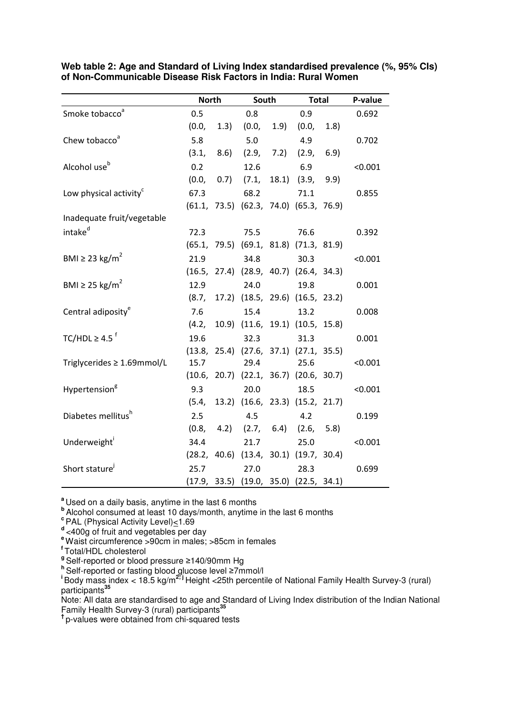|                                    | <b>North</b> |            | South                                        |            | <b>Total</b>        |      | P-value |
|------------------------------------|--------------|------------|----------------------------------------------|------------|---------------------|------|---------|
| Smoke tobacco <sup>a</sup>         | 0.5          |            | 0.8                                          |            | 0.9                 |      | 0.692   |
|                                    | (0.0,        | (1.3)      | (0.0,                                        | 1.9)       | (0.0, 0.0)          | 1.8) |         |
| Chew tobacco <sup>a</sup>          | 5.8          |            | 5.0                                          |            | 4.9                 |      | 0.702   |
|                                    |              | (3.1, 8.6) |                                              | (2.9, 7.2) | (2.9, 6.9)          |      |         |
| Alcohol use <sup>b</sup>           | 0.2          |            | 12.6                                         |            | 6.9                 |      | < 0.001 |
|                                    | (0.0,        | (0.7)      | (7.1,                                        |            | $18.1$ $(3.9, 9.9)$ |      |         |
| Low physical activity <sup>c</sup> | 67.3         |            | 68.2                                         |            | 71.1                |      | 0.855   |
|                                    |              |            | $(61.1, 73.5)$ $(62.3, 74.0)$ $(65.3, 76.9)$ |            |                     |      |         |
| Inadequate fruit/vegetable         |              |            |                                              |            |                     |      |         |
| intake <sup>d</sup>                | 72.3         |            | 75.5                                         |            | 76.6                |      | 0.392   |
|                                    |              |            | $(65.1, 79.5)$ $(69.1, 81.8)$ $(71.3, 81.9)$ |            |                     |      |         |
| BMI $\geq$ 23 kg/m <sup>2</sup>    | 21.9         |            | 34.8                                         |            | 30.3                |      | < 0.001 |
|                                    |              |            | $(16.5, 27.4)$ $(28.9, 40.7)$ $(26.4, 34.3)$ |            |                     |      |         |
| BMI $\geq$ 25 kg/m <sup>2</sup>    | 12.9         |            | 24.0                                         |            | 19.8                |      | 0.001   |
|                                    |              |            | $(8.7, 17.2)$ $(18.5, 29.6)$ $(16.5, 23.2)$  |            |                     |      |         |
| Central adiposity <sup>e</sup>     | 7.6          |            | 15.4                                         |            | 13.2                |      | 0.008   |
|                                    |              |            | $(4.2, 10.9)$ $(11.6, 19.1)$ $(10.5, 15.8)$  |            |                     |      |         |
| TC/HDL $\geq 4.5$ <sup>f</sup>     | 19.6         |            | 32.3                                         |            | 31.3                |      | 0.001   |
|                                    |              |            | $(13.8, 25.4)$ $(27.6, 37.1)$ $(27.1, 35.5)$ |            |                     |      |         |
| Triglycerides ≥ 1.69mmol/L         | 15.7         |            | 29.4                                         |            | 25.6                |      | < 0.001 |
|                                    |              |            | $(10.6, 20.7)$ $(22.1, 36.7)$ $(20.6, 30.7)$ |            |                     |      |         |
| Hypertension <sup>g</sup>          | 9.3          |            | 20.0                                         |            | 18.5                |      | < 0.001 |
|                                    |              |            | $(5.4, 13.2)$ $(16.6, 23.3)$ $(15.2, 21.7)$  |            |                     |      |         |
| Diabetes mellitus <sup>h</sup>     | 2.5          |            | 4.5                                          |            | 4.2                 |      | 0.199   |
|                                    |              |            | $(0.8, 4.2)$ $(2.7, 6.4)$ $(2.6, 5.8)$       |            |                     |      |         |
| Underweight <sup>1</sup>           | 34.4         |            | 21.7                                         |            | 25.0                |      | < 0.001 |
|                                    |              |            | $(28.2, 40.6)$ $(13.4, 30.1)$ $(19.7, 30.4)$ |            |                     |      |         |
| Short stature <sup>j</sup>         | 25.7         |            | 27.0                                         |            | 28.3                |      | 0.699   |
|                                    |              |            | $(17.9, 33.5)$ $(19.0, 35.0)$ $(22.5, 34.1)$ |            |                     |      |         |

**Web table 2: Age and Standard of Living Index standardised prevalence (%, 95% CIs) of Non-Communicable Disease Risk Factors in India: Rural Women** 

**<sup>a</sup>**Used on a daily basis, anytime in the last 6 months

**b**<br>Alcohol consumed at least 10 days/month, anytime in the last 6 months

**<sup>c</sup>**PAL (Physical Activity Level)<1.69

d<sub><400g</sub> of fruit and vegetables per day

**<sup>e</sup>**Waist circumference >90cm in males; >85cm in females

**<sup>f</sup>**Total/HDL cholesterol

grown in the transferred or blood pressure ≥140/90mm Hg

**<sup>h</sup>**Self-reported or fasting blood glucose level ≥7mmol/l

**<sup>i</sup>**Body mass index < 18.5 kg/m**2; j** Height <25th percentile of National Family Health Survey-3 (rural) participants**<sup>35</sup>**

Note: All data are standardised to age and Standard of Living Index distribution of the Indian National Family Health Survey-3 (rural) participants**<sup>35</sup>**

**†** p-values were obtained from chi-squared tests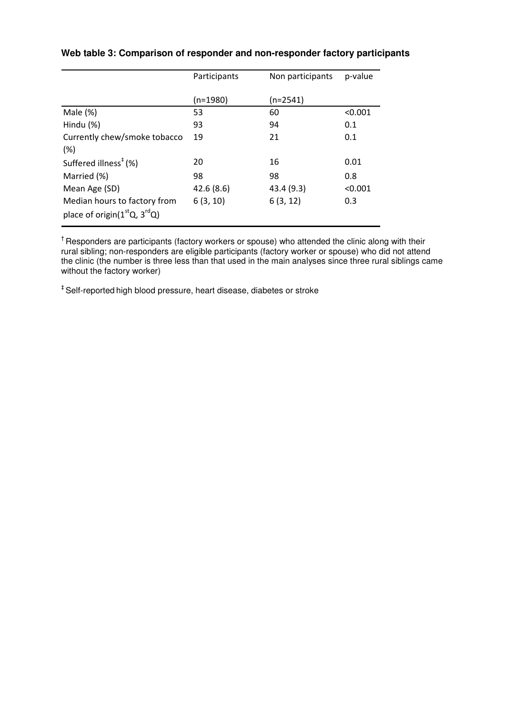| Participants | Non participants | p-value |  |
|--------------|------------------|---------|--|
|              |                  |         |  |
| (n=1980)     | $(n=2541)$       |         |  |
| 53           | 60               | < 0.001 |  |
| 93           | 94               | 0.1     |  |
| 19           | 21               | 0.1     |  |
|              |                  |         |  |
| 20           | 16               | 0.01    |  |
| 98           | 98               | 0.8     |  |
| 42.6(8.6)    | 43.4 (9.3)       | < 0.001 |  |
| 6(3, 10)     | 6(3, 12)         | 0.3     |  |
|              |                  |         |  |
|              |                  |         |  |

## **Web table 3: Comparison of responder and non-responder factory participants**

<sup>†</sup> Responders are participants (factory workers or spouse) who attended the clinic along with their rural sibling; non-responders are eligible participants (factory worker or spouse) who did not attend the clinic (the number is three less than that used in the main analyses since three rural siblings came without the factory worker)

‡ Self-reported high blood pressure, heart disease, diabetes or stroke